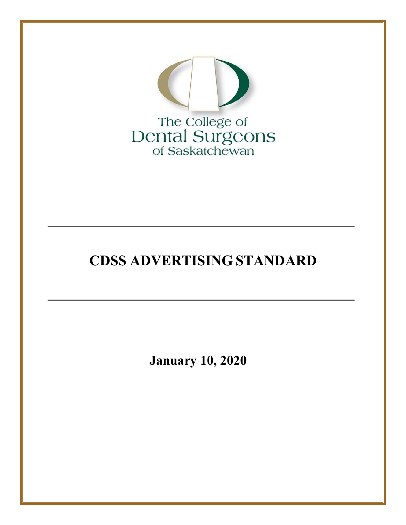

# **CDSS ADVERTISING STANDARD**

**January 10, 2020**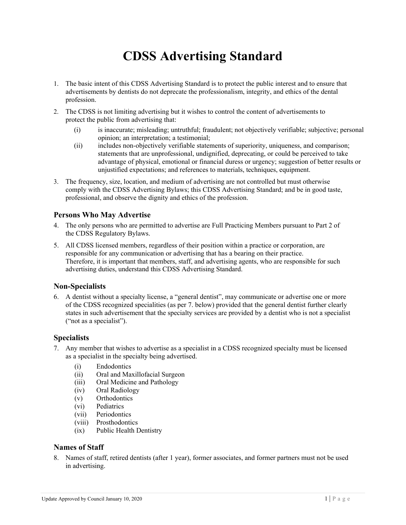# **CDSS Advertising Standard**

- 1. The basic intent of this CDSS Advertising Standard is to protect the public interest and to ensure that advertisements by dentists do not deprecate the professionalism, integrity, and ethics of the dental profession.
- 2. The CDSS is not limiting advertising but it wishes to control the content of advertisements to protect the public from advertising that:
	- (i) is inaccurate; misleading; untruthful; fraudulent; not objectively verifiable; subjective; personal opinion; an interpretation; a testimonial;
	- (ii) includes non-objectively verifiable statements of superiority, uniqueness, and comparison; statements that are unprofessional, undignified, deprecating, or could be perceived to take advantage of physical, emotional or financial duress or urgency; suggestion of better results or unjustified expectations; and references to materials, techniques, equipment.
- 3. The frequency, size, location, and medium of advertising are not controlled but must otherwise comply with the CDSS Advertising Bylaws; this CDSS Advertising Standard; and be in good taste, professional, and observe the dignity and ethics of the profession.

# **Persons Who May Advertise**

- 4. The only persons who are permitted to advertise are Full Practicing Members pursuant to Part 2 of the CDSS Regulatory Bylaws.
- 5. All CDSS licensed members, regardless of their position within a practice or corporation, are responsible for any communication or advertising that has a bearing on their practice. Therefore, it is important that members, staff, and advertising agents, who are responsible for such advertising duties, understand this CDSS Advertising Standard.

# **Non-Specialists**

6. A dentist without a specialty license, a "general dentist", may communicate or advertise one or more of the CDSS recognized specialities (as per 7. below) provided that the general dentist further clearly states in such advertisement that the specialty services are provided by a dentist who is not a specialist ("not as a specialist").

# **Specialists**

- 7. Any member that wishes to advertise as a specialist in a CDSS recognized specialty must be licensed as a specialist in the specialty being advertised.
	- (i) Endodontics
	- (ii) Oral and Maxillofacial Surgeon
	- (iii) Oral Medicine and Pathology
	- (iv) Oral Radiology
	- (v) Orthodontics
	- (vi) Pediatrics
	- (vii) Periodontics
	- (viii) Prosthodontics
	- (ix) Public Health Dentistry

# **Names of Staff**

8. Names of staff, retired dentists (after 1 year), former associates, and former partners must not be used in advertising.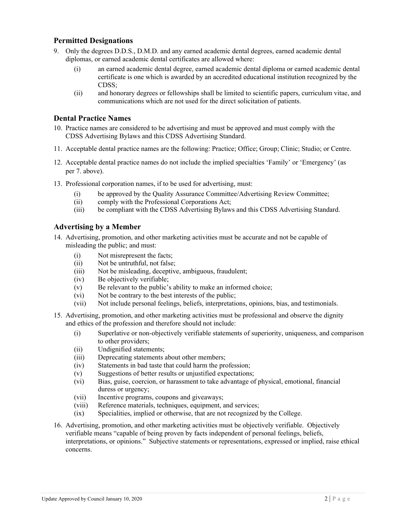# **Permitted Designations**

- 9. Only the degrees D.D.S., D.M.D. and any earned academic dental degrees, earned academic dental diplomas, or earned academic dental certificates are allowed where:
	- (i) an earned academic dental degree, earned academic dental diploma or earned academic dental certificate is one which is awarded by an accredited educational institution recognized by the CDSS;
	- (ii) and honorary degrees or fellowships shall be limited to scientific papers, curriculum vitae, and communications which are not used for the direct solicitation of patients.

### **Dental Practice Names**

- 10. Practice names are considered to be advertising and must be approved and must comply with the CDSS Advertising Bylaws and this CDSS Advertising Standard.
- 11. Acceptable dental practice names are the following: Practice; Office; Group; Clinic; Studio; or Centre.
- 12. Acceptable dental practice names do not include the implied specialties 'Family' or 'Emergency' (as per 7. above).
- 13. Professional corporation names, if to be used for advertising, must:
	- (i) be approved by the Quality Assurance Committee/Advertising Review Committee;
	- (ii) comply with the Professional Corporations Act;
	- (iii) be compliant with the CDSS Advertising Bylaws and this CDSS Advertising Standard.

#### **Advertising by a Member**

- 14. Advertising, promotion, and other marketing activities must be accurate and not be capable of misleading the public; and must:
	- (i) Not misrepresent the facts;
	- (ii) Not be untruthful, not false;
	- (iii) Not be misleading, deceptive, ambiguous, fraudulent;
	- (iv) Be objectively verifiable;
	- (v) Be relevant to the public's ability to make an informed choice;
	- (vi) Not be contrary to the best interests of the public;
	- (vii) Not include personal feelings, beliefs, interpretations, opinions, bias, and testimonials.
- 15. Advertising, promotion, and other marketing activities must be professional and observe the dignity and ethics of the profession and therefore should not include:
	- (i) Superlative or non-objectively verifiable statements of superiority, uniqueness, and comparison to other providers;
	- (ii) Undignified statements;
	- (iii) Deprecating statements about other members;
	- (iv) Statements in bad taste that could harm the profession;
	- (v) Suggestions of better results or unjustified expectations;
	- (vi) Bias, guise, coercion, or harassment to take advantage of physical, emotional, financial duress or urgency;
	- (vii) Incentive programs, coupons and giveaways;
	- (viii) Reference materials, techniques, equipment, and services;
	- (ix) Specialities, implied or otherwise, that are not recognized by the College.
- 16. Advertising, promotion, and other marketing activities must be objectively verifiable. Objectively verifiable means "capable of being proven by facts independent of personal feelings, beliefs, interpretations, or opinions." Subjective statements or representations, expressed or implied, raise ethical concerns.